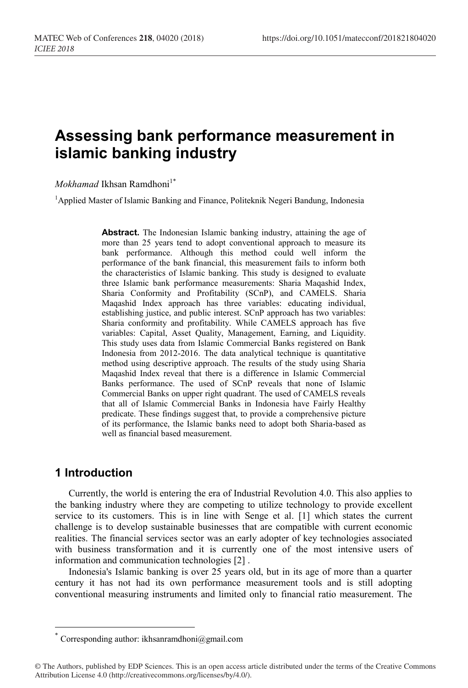# **Assessing bank performance measurement in islamic banking industry**

*Mokhamad Ikhsan Ramdhoni<sup>1\*</sup>* 

<sup>1</sup>Applied Master of Islamic Banking and Finance, Politeknik Negeri Bandung, Indonesia

**Abstract.** The Indonesian Islamic banking industry, attaining the age of more than 25 years tend to adopt conventional approach to measure its bank performance. Although this method could well inform the performance of the bank financial, this measurement fails to inform both the characteristics of Islamic banking. This study is designed to evaluate three Islamic bank performance measurements: Sharia Maqashid Index, Sharia Conformity and Profitability (SCnP), and CAMELS. Sharia Maqashid Index approach has three variables: educating individual, establishing justice, and public interest. SCnP approach has two variables: Sharia conformity and profitability. While CAMELS approach has five variables: Capital, Asset Quality, Management, Earning, and Liquidity. This study uses data from Islamic Commercial Banks registered on Bank Indonesia from 2012-2016. The data analytical technique is quantitative method using descriptive approach. The results of the study using Sharia Maqashid Index reveal that there is a difference in Islamic Commercial Banks performance. The used of SCnP reveals that none of Islamic Commercial Banks on upper right quadrant. The used of CAMELS reveals that all of Islamic Commercial Banks in Indonesia have Fairly Healthy predicate. These findings suggest that, to provide a comprehensive picture of its performance, the Islamic banks need to adopt both Sharia-based as well as financial based measurement.

# **1 Introduction**

Currently, the world is entering the era of Industrial Revolution 4.0. This also applies to the banking industry where they are competing to utilize technology to provide excellent service to its customers. This is in line with Senge et al. [1] which states the current challenge is to develop sustainable businesses that are compatible with current economic realities. The financial services sector was an early adopter of key technologies associated with business transformation and it is currently one of the most intensive users of information and communication technologies [2] .

Indonesia's Islamic banking is over 25 years old, but in its age of more than a quarter century it has not had its own performance measurement tools and is still adopting conventional measuring instruments and limited only to financial ratio measurement. The

<sup>\*</sup> Corresponding author: ikhsanramdhoni $@g$ gmail.com

<sup>©</sup> The Authors, published by EDP Sciences. This is an open access article distributed under the terms of the Creative Commons Attribution License 4.0 (http://creativecommons.org/licenses/by/4.0/).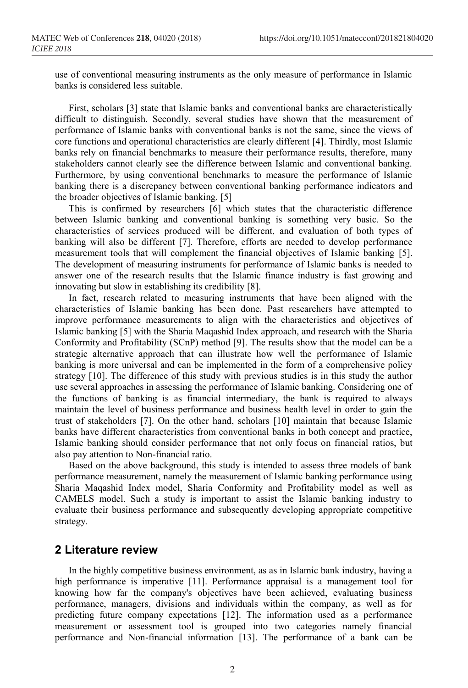use of conventional measuring instruments as the only measure of performance in Islamic banks is considered less suitable.

First, scholars [3] state that Islamic banks and conventional banks are characteristically difficult to distinguish. Secondly, several studies have shown that the measurement of performance of Islamic banks with conventional banks is not the same, since the views of core functions and operational characteristics are clearly different [4]. Thirdly, most Islamic banks rely on financial benchmarks to measure their performance results, therefore, many stakeholders cannot clearly see the difference between Islamic and conventional banking. Furthermore, by using conventional benchmarks to measure the performance of Islamic banking there is a discrepancy between conventional banking performance indicators and the broader objectives of Islamic banking. [5]

This is confirmed by researchers [6] which states that the characteristic difference between Islamic banking and conventional banking is something very basic. So the characteristics of services produced will be different, and evaluation of both types of banking will also be different [7]. Therefore, efforts are needed to develop performance measurement tools that will complement the financial objectives of Islamic banking [5]. The development of measuring instruments for performance of Islamic banks is needed to answer one of the research results that the Islamic finance industry is fast growing and innovating but slow in establishing its credibility [8].

In fact, research related to measuring instruments that have been aligned with the characteristics of Islamic banking has been done. Past researchers have attempted to improve performance measurements to align with the characteristics and objectives of Islamic banking [5] with the Sharia Maqashid Index approach, and research with the Sharia Conformity and Profitability (SCnP) method [9]. The results show that the model can be a strategic alternative approach that can illustrate how well the performance of Islamic banking is more universal and can be implemented in the form of a comprehensive policy strategy [10]. The difference of this study with previous studies is in this study the author use several approaches in assessing the performance of Islamic banking. Considering one of the functions of banking is as financial intermediary, the bank is required to always maintain the level of business performance and business health level in order to gain the trust of stakeholders [7]. On the other hand, scholars [10] maintain that because Islamic banks have different characteristics from conventional banks in both concept and practice, Islamic banking should consider performance that not only focus on financial ratios, but also pay attention to Non-financial ratio.

Based on the above background, this study is intended to assess three models of bank performance measurement, namely the measurement of Islamic banking performance using Sharia Maqashid Index model, Sharia Conformity and Profitability model as well as CAMELS model. Such a study is important to assist the Islamic banking industry to evaluate their business performance and subsequently developing appropriate competitive strategy.

### **2 Literature review**

In the highly competitive business environment, as as in Islamic bank industry, having a high performance is imperative [11]. Performance appraisal is a management tool for knowing how far the company's objectives have been achieved, evaluating business performance, managers, divisions and individuals within the company, as well as for predicting future company expectations [12]. The information used as a performance measurement or assessment tool is grouped into two categories namely financial performance and Non-financial information [13]. The performance of a bank can be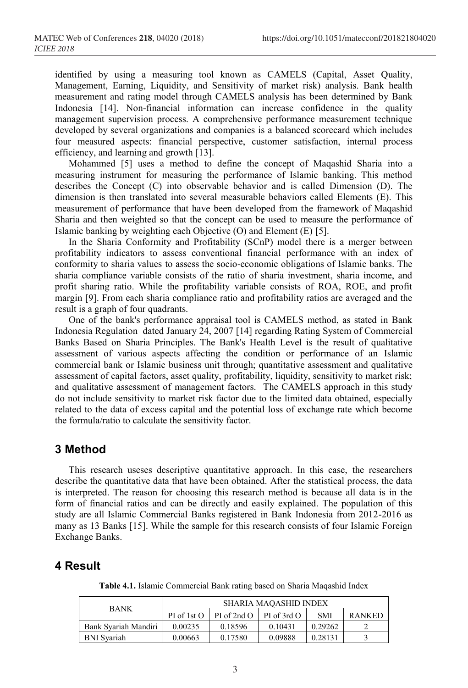identified by using a measuring tool known as CAMELS (Capital, Asset Quality, Management, Earning, Liquidity, and Sensitivity of market risk) analysis. Bank health measurement and rating model through CAMELS analysis has been determined by Bank Indonesia [14]. Non-financial information can increase confidence in the quality management supervision process. A comprehensive performance measurement technique developed by several organizations and companies is a balanced scorecard which includes four measured aspects: financial perspective, customer satisfaction, internal process efficiency, and learning and growth [13].

Mohammed [5] uses a method to define the concept of Maqashid Sharia into a measuring instrument for measuring the performance of Islamic banking. This method describes the Concept (C) into observable behavior and is called Dimension (D). The dimension is then translated into several measurable behaviors called Elements (E). This measurement of performance that have been developed from the framework of Maqashid Sharia and then weighted so that the concept can be used to measure the performance of Islamic banking by weighting each Objective (O) and Element (E) [5].

In the Sharia Conformity and Profitability (SCnP) model there is a merger between profitability indicators to assess conventional financial performance with an index of conformity to sharia values to assess the socio-economic obligations of Islamic banks. The sharia compliance variable consists of the ratio of sharia investment, sharia income, and profit sharing ratio. While the profitability variable consists of ROA, ROE, and profit margin [9]. From each sharia compliance ratio and profitability ratios are averaged and the result is a graph of four quadrants.

One of the bank's performance appraisal tool is CAMELS method, as stated in Bank Indonesia Regulation dated January 24, 2007 [14] regarding Rating System of Commercial Banks Based on Sharia Principles. The Bank's Health Level is the result of qualitative assessment of various aspects affecting the condition or performance of an Islamic commercial bank or Islamic business unit through; quantitative assessment and qualitative assessment of capital factors, asset quality, profitability, liquidity, sensitivity to market risk; and qualitative assessment of management factors. The CAMELS approach in this study do not include sensitivity to market risk factor due to the limited data obtained, especially related to the data of excess capital and the potential loss of exchange rate which become the formula/ratio to calculate the sensitivity factor.

#### **3 Method**

This research useses descriptive quantitative approach. In this case, the researchers describe the quantitative data that have been obtained. After the statistical process, the data is interpreted. The reason for choosing this research method is because all data is in the form of financial ratios and can be directly and easily explained. The population of this study are all Islamic Commercial Banks registered in Bank Indonesia from 2012-2016 as many as 13 Banks [15]. While the sample for this research consists of four Islamic Foreign Exchange Banks.

## **4 Result**

| Table 4.1. Islamic Commercial Bank rating based on Sharia Maqashid Index |  |  |
|--------------------------------------------------------------------------|--|--|
|--------------------------------------------------------------------------|--|--|

|                      | <b>SHARIA MAQASHID INDEX</b> |               |              |            |               |  |  |  |  |
|----------------------|------------------------------|---------------|--------------|------------|---------------|--|--|--|--|
| <b>BANK</b>          | PI of 1st $O$                | PI of $2nd$ O | PI of $3rdO$ | <b>SMI</b> | <b>RANKED</b> |  |  |  |  |
| Bank Svariah Mandiri | 0.00235                      | 0.18596       | 0.10431      | 0.29262    |               |  |  |  |  |
| <b>BNI</b> Syariah   | 0.00663                      | 0.17580       | 0.09888      | 0.28131    |               |  |  |  |  |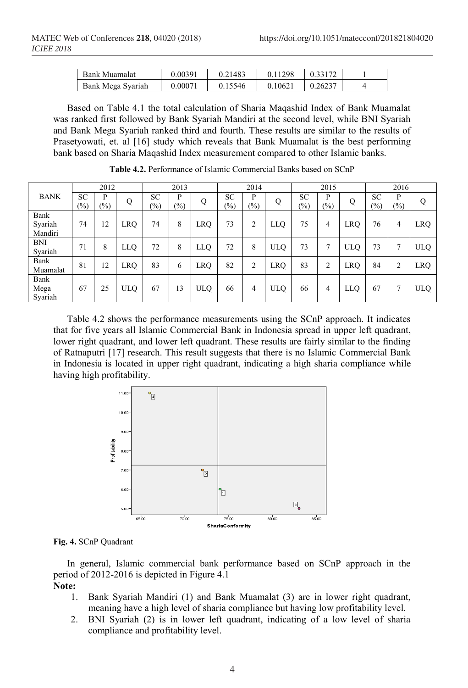| Bank Muamalat     | 0.00391 | 0.21483 | 0.11298 | 0.33172 |  |
|-------------------|---------|---------|---------|---------|--|
| Bank Mega Syariah | J.00071 | 15546   | 0.1062  | 0.26237 |  |

Based on Table 4.1 the total calculation of Sharia Maqashid Index of Bank Muamalat was ranked first followed by Bank Syariah Mandiri at the second level, while BNI Syariah and Bank Mega Syariah ranked third and fourth. These results are similar to the results of Prasetyowati, et. al [16] study which reveals that Bank Muamalat is the best performing bank based on Sharia Maqashid Index measurement compared to other Islamic banks.

|                            |             | 2012                 |            |           | 2013        |            |                     | 2014        |            |                            | 2015               |            |                  | 2016               |            |
|----------------------------|-------------|----------------------|------------|-----------|-------------|------------|---------------------|-------------|------------|----------------------------|--------------------|------------|------------------|--------------------|------------|
| <b>BANK</b>                | SC<br>(0/0) | P<br>$\frac{(0)}{0}$ | Q          | SC<br>(%) | P<br>$(\%)$ | Q          | SC<br>$\frac{1}{2}$ | P<br>$(\%)$ | Q          | <b>SC</b><br>$\frac{6}{2}$ | P<br>$\frac{0}{0}$ | Q          | <b>SC</b><br>(%) | P<br>$\frac{6}{6}$ | Q          |
| Bank<br>Syariah<br>Mandiri | 74          | 12                   | LRQ        | 74        | 8           | <b>LRQ</b> | 73                  | 2           | <b>LLQ</b> | 75                         | 4                  | <b>LRQ</b> | 76               | 4                  | <b>LRQ</b> |
| <b>BNI</b><br>Syariah      | 71          | 8                    | <b>LLQ</b> | 72        | 8           | <b>LLQ</b> | 72                  | 8           | <b>ULQ</b> | 73                         | ⇁                  | <b>ULQ</b> | 73               | 7                  | <b>ULO</b> |
| Bank<br>Muamalat           | 81          | 12                   | <b>LRQ</b> | 83        | 6           | LRQ        | 82                  | 2           | <b>LRQ</b> | 83                         | $\mathcal{D}$      | <b>LRQ</b> | 84               | 2                  | <b>LRQ</b> |
| Bank<br>Mega<br>Syariah    | 67          | 25                   | <b>ULQ</b> | 67        | 13          | ULQ        | 66                  | 4           | <b>ULQ</b> | 66                         | 4                  | <b>LLQ</b> | 67               | Ξ                  | <b>ULQ</b> |

**Table 4.2.** Performance of Islamic Commercial Banks based on SCnP

Table 4.2 shows the performance measurements using the SCnP approach. It indicates that for five years all Islamic Commercial Bank in Indonesia spread in upper left quadrant, lower right quadrant, and lower left quadrant. These results are fairly similar to the finding of Ratnaputri [17] research. This result suggests that there is no Islamic Commercial Bank in Indonesia is located in upper right quadrant, indicating a high sharia compliance while having high profitability.



**Fig. 4.** SCnP Quadrant

In general, Islamic commercial bank performance based on SCnP approach in the period of 2012-2016 is depicted in Figure 4.1 **Note:**

- 1. Bank Syariah Mandiri (1) and Bank Muamalat (3) are in lower right quadrant, meaning have a high level of sharia compliance but having low profitability level.
- 2. BNI Syariah (2) is in lower left quadrant, indicating of a low level of sharia compliance and profitability level.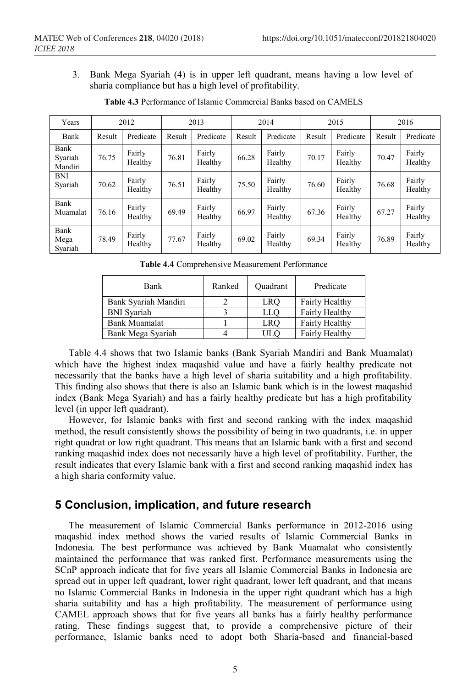3. Bank Mega Syariah (4) is in upper left quadrant, means having a low level of sharia compliance but has a high level of profitability.

| Years                      |        | 2012              | 2013   |                   | 2014   |                   |        | 2015              | 2016   |                   |
|----------------------------|--------|-------------------|--------|-------------------|--------|-------------------|--------|-------------------|--------|-------------------|
| Bank                       | Result | Predicate         | Result | Predicate         | Result | Predicate         | Result | Predicate         | Result | Predicate         |
| Bank<br>Syariah<br>Mandiri | 76.75  | Fairly<br>Healthy | 76.81  | Fairly<br>Healthy | 66.28  | Fairly<br>Healthy | 70.17  | Fairly<br>Healthy | 70.47  | Fairly<br>Healthy |
| <b>BNI</b><br>Syariah      | 70.62  | Fairly<br>Healthy | 76.51  | Fairly<br>Healthy | 75.50  | Fairly<br>Healthy | 76.60  | Fairly<br>Healthy | 76.68  | Fairly<br>Healthy |
| Bank<br>Muamalat           | 76.16  | Fairly<br>Healthy | 69.49  | Fairly<br>Healthy | 66.97  | Fairly<br>Healthy | 67.36  | Fairly<br>Healthy | 67.27  | Fairly<br>Healthy |
| Bank<br>Mega<br>Syariah    | 78.49  | Fairly<br>Healthy | 77.67  | Fairly<br>Healthy | 69.02  | Fairly<br>Healthy | 69.34  | Fairly<br>Healthy | 76.89  | Fairly<br>Healthy |

**Table 4.3** Performance of Islamic Commercial Banks based on CAMELS

**Table 4.4** Comprehensive Measurement Performance

| Bank                 | Ranked | Quadrant   | Predicate      |
|----------------------|--------|------------|----------------|
| Bank Syariah Mandiri |        | <b>LRO</b> | Fairly Healthy |
| <b>BNI</b> Syariah   |        | LLO        | Fairly Healthy |
| <b>Bank Muamalat</b> |        | <b>LRO</b> | Fairly Healthy |
| Bank Mega Syariah    |        | ULO        | Fairly Healthy |

Table 4.4 shows that two Islamic banks (Bank Syariah Mandiri and Bank Muamalat) which have the highest index maqashid value and have a fairly healthy predicate not necessarily that the banks have a high level of sharia suitability and a high profitability. This finding also shows that there is also an Islamic bank which is in the lowest maqashid index (Bank Mega Syariah) and has a fairly healthy predicate but has a high profitability level (in upper left quadrant).

However, for Islamic banks with first and second ranking with the index maqashid method, the result consistently shows the possibility of being in two quadrants, i.e. in upper right quadrat or low right quadrant. This means that an Islamic bank with a first and second ranking maqashid index does not necessarily have a high level of profitability. Further, the result indicates that every Islamic bank with a first and second ranking maqashid index has a high sharia conformity value.

# **5 Conclusion, implication, and future research**

The measurement of Islamic Commercial Banks performance in 2012-2016 using maqashid index method shows the varied results of Islamic Commercial Banks in Indonesia. The best performance was achieved by Bank Muamalat who consistently maintained the performance that was ranked first. Performance measurements using the SCnP approach indicate that for five years all Islamic Commercial Banks in Indonesia are spread out in upper left quadrant, lower right quadrant, lower left quadrant, and that means no Islamic Commercial Banks in Indonesia in the upper right quadrant which has a high sharia suitability and has a high profitability. The measurement of performance using CAMEL approach shows that for five years all banks has a fairly healthy performance rating. These findings suggest that, to provide a comprehensive picture of their performance, Islamic banks need to adopt both Sharia-based and financial-based